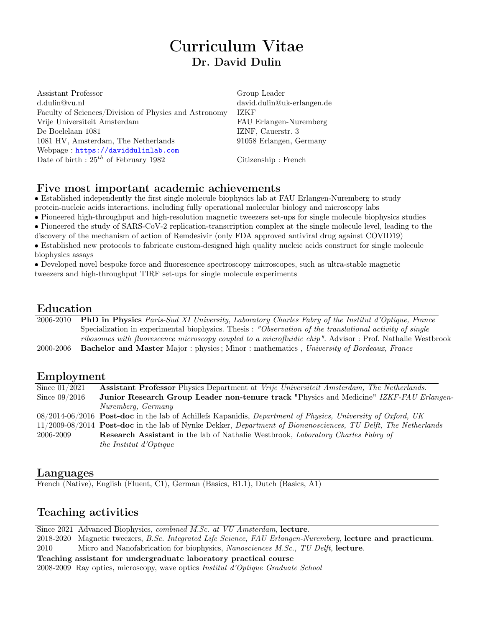# Curriculum Vitae Dr. David Dulin

Assistant Professor Group Leader d.dulin@vu.nl david.dulin@uk-erlangen.de Faculty of Sciences/Division of Physics and Astronomy IZKF Vrije Universiteit Amsterdam FAU Erlangen-Nuremberg De Boelelaan 1081 IZNF, Cauerstr. 3 1081 HV, Amsterdam, The Netherlands 91058 Erlangen, Germany Webpage : <https://daviddulinlab.com> Date of birth :  $25<sup>th</sup>$  of February 1982 Citizenship : French

#### Five most important academic achievements

• Established independently the first single molecule biophysics lab at FAU Erlangen-Nuremberg to study protein-nucleic acids interactions, including fully operational molecular biology and microscopy labs

• Pioneered high-throughput and high-resolution magnetic tweezers set-ups for single molecule biophysics studies

• Pioneered the study of SARS-CoV-2 replication-transcription complex at the single molecule level, leading to the

discovery of the mechanism of action of Remdesivir (only FDA approved antiviral drug against COVID19)

• Established new protocols to fabricate custom-designed high quality nucleic acids construct for single molecule biophysics assays

• Developed novel bespoke force and fluorescence spectroscopy microscopes, such as ultra-stable magnetic tweezers and high-throughput TIRF set-ups for single molecule experiments

### Education

2006-2010 PhD in Physics Paris-Sud XI University, Laboratory Charles Fabry of the Institut d'Optique, France Specialization in experimental biophysics. Thesis : "Observation of the translational activity of single ribosomes with fluorescence microscopy coupled to a microfluidic chip". Advisor : Prof. Nathalie Westbrook 2000-2006 Bachelor and Master Major : physics ; Minor : mathematics , University of Bordeaux, France

#### Employment

| Since $01/2021$ | <b>Assistant Professor</b> Physics Department at Vrije Universiteit Amsterdam, The Netherlands.               |
|-----------------|---------------------------------------------------------------------------------------------------------------|
| Since $09/2016$ | <b>Junior Research Group Leader non-tenure track "Physics and Medicine" IZKF-FAU Erlangen-</b>                |
|                 | Nuremberg, Germany                                                                                            |
|                 | $08/2014-06/2016$ Post-doc in the lab of Achillefs Kapanidis, Department of Physics, University of Oxford, UK |
|                 | 11/2009-08/2014 Post-doc in the lab of Nynke Dekker, Department of Bionanosciences, TU Delft, The Netherlands |
| 2006-2009       | <b>Research Assistant</b> in the lab of Nathalie Westbrook, <i>Laboratory Charles Fabry of</i>                |
|                 | the Institut d'Optique                                                                                        |

#### Languages

French (Native), English (Fluent, C1), German (Basics, B1.1), Dutch (Basics, A1)

### Teaching activities

Since 2021 Advanced Biophysics, combined M.Sc. at VU Amsterdam, lecture. 2018-2020 Magnetic tweezers, B.Sc. Integrated Life Science, FAU Erlangen-Nuremberg, lecture and practicum. 2010 Micro and Nanofabrication for biophysics, Nanosciences M.Sc., TU Delft, lecture. Teaching assistant for undergraduate laboratory practical course 2008-2009 Ray optics, microscopy, wave optics Institut d'Optique Graduate School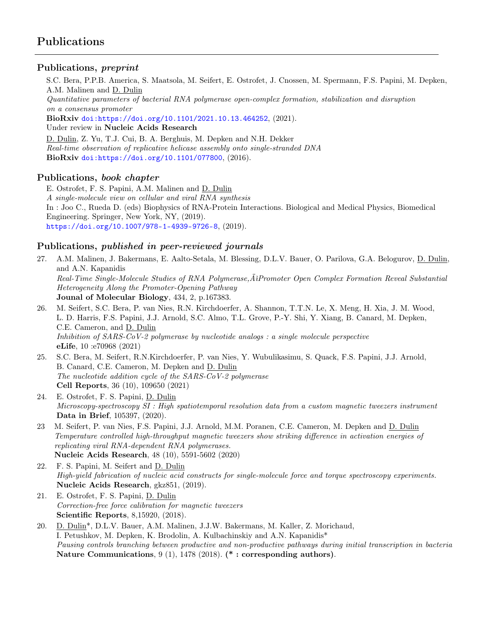#### Publications, preprint

S.C. Bera, P.P.B. America, S. Maatsola, M. Seifert, E. Ostrofet, J. Cnossen, M. Spermann, F.S. Papini, M. Depken, A.M. Malinen and D. Dulin

Quantitative parameters of bacterial RNA polymerase open-complex formation, stabilization and disruption on a consensus promoter

BioRxiv [doi:https://doi.org/10.1101/2021.10.13.464252](doi: https://doi.org/10.1101/2021.10.13.464252), (2021). Under review in Nucleic Acids Research

D. Dulin, Z. Yu, T.J. Cui, B. A. Berghuis, M. Depken and N.H. Dekker Real-time observation of replicative helicase assembly onto single-stranded DNA BioRxiv [doi:https://doi.org/10.1101/077800](doi: https://doi.org/10.1101/077800), (2016).

#### Publications, book chapter

E. Ostrofet, F. S. Papini, A.M. Malinen and D. Dulin A single-molecule view on cellular and viral RNA synthesis In : Joo C., Rueda D. (eds) Biophysics of RNA-Protein Interactions. Biological and Medical Physics, Biomedical Engineering. Springer, New York, NY, (2019). <https://doi.org/10.1007/978-1-4939-9726-8>, (2019).

#### Publications, published in peer-reviewed journals

27. A.M. Malinen, J. Bakermans, E. Aalto-Setala, M. Blessing, D.L.V. Bauer, O. Parilova, G.A. Belogurov, D. Dulin, and A.N. Kapanidis Real-Time Single-Molecule Studies of RNA Polymerase, ÄlPromoter Open Complex Formation Reveal Substantial Heterogeneity Along the Promoter-Opening Pathway Jounal of Molecular Biology, 434, 2, p.167383.

- 26. M. Seifert, S.C. Bera, P. van Nies, R.N. Kirchdoerfer, A. Shannon, T.T.N. Le, X. Meng, H. Xia, J. M. Wood, L. D. Harris, F.S. Papini, J.J. Arnold, S.C. Almo, T.L. Grove, P.-Y. Shi, Y. Xiang, B. Canard, M. Depken, C.E. Cameron, and D. Dulin Inhibition of SARS-CoV-2 polymerase by nucleotide analogs : a single molecule perspective eLife, 10 :e70968 (2021)
- 25. S.C. Bera, M. Seifert, R.N.Kirchdoerfer, P. van Nies, Y. Wubulikasimu, S. Quack, F.S. Papini, J.J. Arnold, B. Canard, C.E. Cameron, M. Depken and D. Dulin The nucleotide addition cycle of the SARS-CoV-2 polymerase Cell Reports, 36 (10), 109650 (2021)
- 24. E. Ostrofet, F. S. Papini, D. Dulin Microscopy-spectroscopy SI : High spatiotemporal resolution data from a custom magnetic tweezers instrument Data in Brief, 105397, (2020).
- 23 M. Seifert, P. van Nies, F.S. Papini, J.J. Arnold, M.M. Poranen, C.E. Cameron, M. Depken and D. Dulin Temperature controlled high-throughput magnetic tweezers show striking difference in activation energies of replicating viral RNA-dependent RNA polymerases. Nucleic Acids Research, 48 (10), 5591-5602 (2020)
- 22. F. S. Papini, M. Seifert and D. Dulin High-yield fabrication of nucleic acid constructs for single-molecule force and torque spectroscopy experiments. Nucleic Acids Research, gkz851, (2019).
- 21. E. Ostrofet, F. S. Papini, D. Dulin Correction-free force calibration for magnetic tweezers Scientific Reports, 8,15920, (2018).
- 20. D. Dulin\*, D.L.V. Bauer, A.M. Malinen, J.J.W. Bakermans, M. Kaller, Z. Morichaud, I. Petushkov, M. Depken, K. Brodolin, A. Kulbachinskiy and A.N. Kapanidis\* Pausing controls branching between productive and non-productive pathways during initial transcription in bacteria Nature Communications, 9 (1), 1478 (2018). (\* : corresponding authors).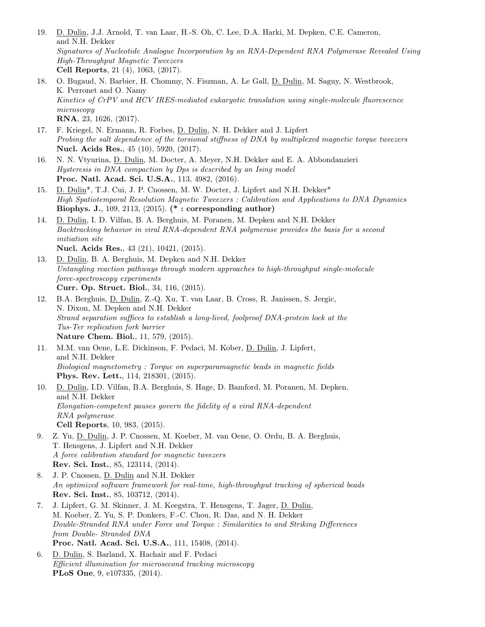- 19. D. Dulin, J.J. Arnold, T. van Laar, H.-S. Oh, C. Lee, D.A. Harki, M. Depken, C.E. Cameron, and N.H. Dekker Signatures of Nucleotide Analogue Incorporation by an RNA-Dependent RNA Polymerase Revealed Using High-Throughput Magnetic Tweezers Cell Reports, 21 (4), 1063, (2017).
- 18. O. Bugaud, N. Barbier, H. Chommy, N. Fiszman, A. Le Gall, D. Dulin, M. Saguy, N. Westbrook, K. Perronet and O. Namy Kinetics of CrPV and HCV IRES-mediated eukaryotic translation using single-molecule fluorescence microscopy RNA, 23, 1626, (2017).
- 17. F. Kriegel, N. Ermann, R. Forbes, D. Dulin, N. H. Dekker and J. Lipfert Probing the salt dependence of the torsional stiffness of DNA by multiplexed magnetic torque tweezers Nucl. Acids Res., 45 (10), 5920, (2017).
- 16. N. N. Vtyurina, D. Dulin, M. Docter, A. Meyer, N.H. Dekker and E. A. Abbondanzieri Hysteresis in DNA compaction by Dps is described by an Ising model Proc. Natl. Acad. Sci. U.S.A., 113, 4982, (2016).
- 15. D. Dulin\*, T.J. Cui, J. P. Cnossen, M. W. Docter, J. Lipfert and N.H. Dekker\* High Spatiotemporal Resolution Magnetic Tweezers : Calibration and Applications to DNA Dynamics Biophys. J., 109, 2113, (2015). (\* : corresponding author)
- 14. D. Dulin, I. D. Vilfan, B. A. Berghuis, M. Poranen, M. Depken and N.H. Dekker Backtracking behavior in viral RNA-dependent RNA polymerase provides the basis for a second initiation site Nucl. Acids Res., 43 (21), 10421, (2015).
- 13. D. Dulin, B. A. Berghuis, M. Depken and N.H. Dekker Untangling reaction pathways through modern approaches to high-throughput single-molecule force-spectroscopy experiments Curr. Op. Struct. Biol., 34, 116, (2015).
- 12. B.A. Berghuis, D. Dulin, Z.-Q. Xu, T. van Laar, B. Cross, R. Janissen, S. Jergic, N. Dixon, M. Depken and N.H. Dekker Strand separation suffices to establish a long-lived, foolproof DNA-protein lock at the Tus-Ter replication fork barrier Nature Chem. Biol., 11, 579, (2015).
- 11. M.M. van Oene, L.E. Dickinson, F. Pedaci, M. Kober, D. Dulin, J. Lipfert, and N.H. Dekker Biological magnetometry : Torque on superparamagnetic beads in magnetic fields Phys. Rev. Lett., 114, 218301, (2015).
- 10. D. Dulin, I.D. Vilfan, B.A. Berghuis, S. Hage, D. Bamford, M. Poranen, M. Depken, and N.H. Dekker Elongation-competent pauses govern the fidelity of a viral RNA-dependent RNA polymerase Cell Reports, 10, 983, (2015).
- 9. Z. Yu, D. Dulin, J. P. Cnossen, M. Koeber, M. van Oene, O. Ordu, B. A. Berghuis, T. Hensgens, J. Lipfert and N.H. Dekker A force calibration standard for magnetic tweezers Rev. Sci. Inst., 85, 123114, (2014).
- 8. J. P. Cnossen, D. Dulin and N.H. Dekker An optimized software framework for real-time, high-throughput tracking of spherical beads Rev. Sci. Inst., 85, 103712, (2014).
- 7. J. Lipfert, G. M. Skinner, J. M. Keegstra, T. Hensgens, T. Jager, D. Dulin, M. Koeber, Z. Yu, S. P. Donkers, F.-C. Chou, R. Das, and N. H. Dekker Double-Stranded RNA under Force and Torque : Similarities to and Striking Differences from Double- Stranded DNA Proc. Natl. Acad. Sci. U.S.A., 111, 15408, (2014).
- 6. D. Dulin, S. Barland, X. Hachair and F. Pedaci Efficient illumination for microsecond tracking microscopy PLoS One, 9, e107335, (2014).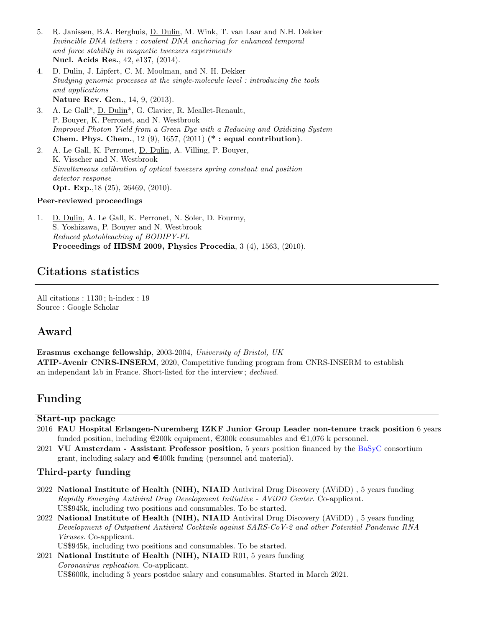- 5. R. Janissen, B.A. Berghuis, D. Dulin, M. Wink, T. van Laar and N.H. Dekker Invincible DNA tethers : covalent DNA anchoring for enhanced temporal and force stability in magnetic tweezers experiments Nucl. Acids Res., 42, e137, (2014).
- 4. D. Dulin, J. Lipfert, C. M. Moolman, and N. H. Dekker Studying genomic processes at the single-molecule level : introducing the tools and applications Nature Rev. Gen., 14, 9, (2013).
- 3. A. Le Gall\*, D. Dulin\*, G. Clavier, R. Meallet-Renault, P. Bouyer, K. Perronet, and N. Westbrook Improved Photon Yield from a Green Dye with a Reducing and Oxidizing System Chem. Phys. Chem., 12 (9), 1657, (2011) (\* : equal contribution).
- 2. A. Le Gall, K. Perronet, D. Dulin, A. Villing, P. Bouyer, K. Visscher and N. Westbrook Simultaneous calibration of optical tweezers spring constant and position detector response Opt. Exp.,18 (25), 26469, (2010).

#### Peer-reviewed proceedings

1. D. Dulin, A. Le Gall, K. Perronet, N. Soler, D. Fourmy, S. Yoshizawa, P. Bouyer and N. Westbrook Reduced photobleaching of BODIPY-FL Proceedings of HBSM 2009, Physics Procedia, 3 (4), 1563, (2010).

### Citations statistics

All citations : 1130 ; h-index : 19 Source : Google Scholar

#### Award

Erasmus exchange fellowship, 2003-2004, University of Bristol, UK ATIP-Avenir CNRS-INSERM, 2020, Competitive funding program from CNRS-INSERM to establish an independant lab in France. Short-listed for the interview ; declined.

### Funding

#### Start-up package

- 2016 FAU Hospital Erlangen-Nuremberg IZKF Junior Group Leader non-tenure track position 6 years funded position, including  $\epsilon$ 200k equipment,  $\epsilon$ 300k consumables and  $\epsilon$ 1,076 k personnel.
- 2021 VU Amsterdam Assistant Professor position, 5 years position financed by the [BaSyC](https://www.basyc.nl/) consortium grant, including salary and  $\in$ 400k funding (personnel and material).

#### Third-party funding

- 2022 National Institute of Health (NIH), NIAID Antiviral Drug Discovery (AViDD) , 5 years funding Rapidly Emerging Antiviral Drug Development Initiative - AViDD Center. Co-applicant. US\$945k, including two positions and consumables. To be started.
- 2022 National Institute of Health (NIH), NIAID Antiviral Drug Discovery (AViDD) , 5 years funding Development of Outpatient Antiviral Cocktails against SARS-CoV-2 and other Potential Pandemic RNA Viruses. Co-applicant.

US\$945k, including two positions and consumables. To be started.

2021 National Institute of Health (NIH), NIAID R01, 5 years funding Coronavirus replication. Co-applicant. US\$600k, including 5 years postdoc salary and consumables. Started in March 2021.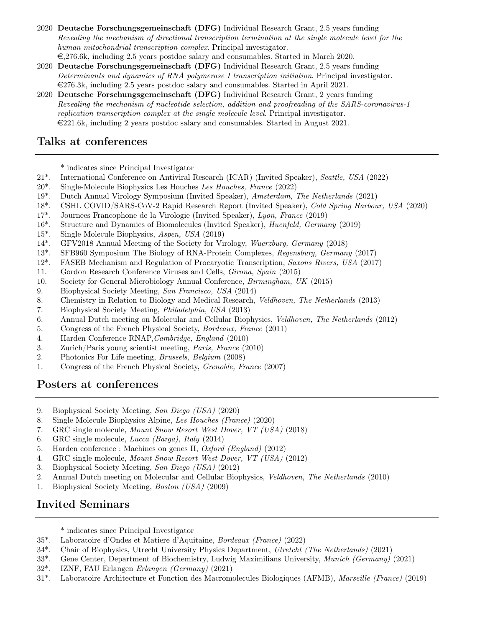- 2020 Deutsche Forschungsgemeinschaft (DFG) Individual Research Grant, 2.5 years funding Revealing the mechanism of directional transcription termination at the single molecule level for the human mitochondrial transcription complex. Principal investigator.  $\epsilon$ ,276.6k, including 2.5 years postdoc salary and consumables. Started in March 2020.
- 2020 Deutsche Forschungsgemeinschaft (DFG) Individual Research Grant, 2.5 years funding Determinants and dynamics of RNA polymerase I transcription initiation. Principal investigator.  $\in$ 276.3k, including 2.5 years postdoc salary and consumables. Started in April 2021.
- 2020 Deutsche Forschungsgemeinschaft (DFG) Individual Research Grant, 2 years funding Revealing the mechanism of nucleotide selection, addition and proofreading of the SARS-coronavirus-1 replication transcription complex at the single molecule level. Principal investigator.  $\in$ 221.6k, including 2 years postdoc salary and consumables. Started in August 2021.

### Talks at conferences

\* indicates since Principal Investigator

- 21\*. International Conference on Antiviral Research (ICAR) (Invited Speaker), Seattle, USA (2022)
- 20\*. Single-Molecule Biophysics Les Houches Les Houches, France (2022)
- 19\*. Dutch Annual Virology Symposium (Invited Speaker), Amsterdam, The Netherlands (2021)
- 18\*. CSHL COVID/SARS-CoV-2 Rapid Research Report (Invited Speaker), Cold Spring Harbour, USA (2020)
- 17\*. Journees Francophone de la Virologie (Invited Speaker), Lyon, France (2019)
- 16\*. Structure and Dynamics of Biomolecules (Invited Speaker), Huenfeld, Germany (2019)
- 15\*. Single Molecule Biophysics, Aspen, USA (2019)
- 14\*. GFV2018 Annual Meeting of the Society for Virology, Wuerzburg, Germany (2018)
- 13\*. SFB960 Symposium The Biology of RNA-Protein Complexes, Regensburg, Germany (2017)
- 12\*. FASEB Mechanism and Regulation of Procaryotic Transcription, Saxons Rivers, USA (2017)
- 11. Gordon Research Conference Viruses and Cells, Girona, Spain (2015)
- 10. Society for General Microbiology Annual Conference, Birmingham, UK (2015)
- 9. Biophysical Society Meeting, San Francisco, USA (2014)
- 8. Chemistry in Relation to Biology and Medical Research, Veldhoven, The Netherlands (2013)
- 7. Biophysical Society Meeting, Philadelphia, USA (2013)
- 6. Annual Dutch meeting on Molecular and Cellular Biophysics, Veldhoven, The Netherlands (2012)
- 5. Congress of the French Physical Society, Bordeaux, France (2011)
- 4. Harden Conference RNAP,Cambridge, England (2010)
- 3. Zurich/Paris young scientist meeting, Paris, France (2010)
- 2. Photonics For Life meeting, Brussels, Belgium (2008)
- 1. Congress of the French Physical Society, Grenoble, France (2007)

# Posters at conferences

- 9. Biophysical Society Meeting, San Diego (USA) (2020)
- 8. Single Molecule Biophysics Alpine, Les Houches (France) (2020)
- 7. GRC single molecule, Mount Snow Resort West Dover, VT (USA) (2018)
- 6. GRC single molecule, Lucca (Barga), Italy (2014)
- 5. Harden conference : Machines on genes II, Oxford (England) (2012)
- 4. GRC single molecule, Mount Snow Resort West Dover, VT (USA) (2012)
- 3. Biophysical Society Meeting, San Diego (USA) (2012)
- 2. Annual Dutch meeting on Molecular and Cellular Biophysics, Veldhoven, The Netherlands (2010)
- 1. Biophysical Society Meeting, Boston (USA) (2009)

# Invited Seminars

- \* indicates since Principal Investigator
- 35\*. Laboratoire d'Ondes et Matiere d'Aquitaine, Bordeaux (France) (2022)
- 34\*. Chair of Biophysics, Utrecht University Physics Department, Utretcht (The Netherlands) (2021)
- 33\*. Gene Center, Department of Biochemistry, Ludwig Maximilians University, Munich (Germany) (2021)
- 32\*. IZNF, FAU Erlangen Erlangen (Germany) (2021)
- 31\*. Laboratoire Architecture et Fonction des Macromolecules Biologiques (AFMB), Marseille (France) (2019)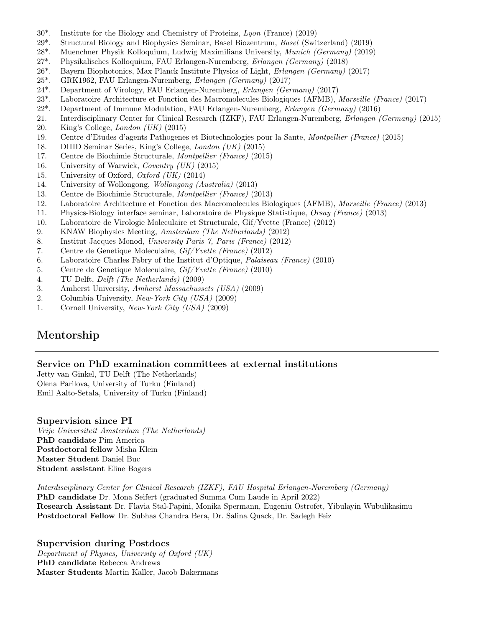- 30\*. Institute for the Biology and Chemistry of Proteins, Lyon (France) (2019)
- 29\*. Structural Biology and Biophysics Seminar, Basel Biozentrum, Basel (Switzerland) (2019)
- 28\*. Muenchner Physik Kolloquium, Ludwig Maximilians University, Munich (Germany) (2019)
- 27\*. Physikalisches Kolloquium, FAU Erlangen-Nuremberg, Erlangen (Germany) (2018)
- 26\*. Bayern Biophotonics, Max Planck Institute Physics of Light, Erlangen (Germany) (2017)
- 25\*. GRK1962, FAU Erlangen-Nuremberg, Erlangen (Germany) (2017)
- 24\*. Department of Virology, FAU Erlangen-Nuremberg, Erlangen (Germany) (2017)
- 23\*. Laboratoire Architecture et Fonction des Macromolecules Biologiques (AFMB), Marseille (France) (2017)
- 22\*. Department of Immune Modulation, FAU Erlangen-Nuremberg, Erlangen (Germany) (2016)
- 21. Interdisciplinary Center for Clinical Research (IZKF), FAU Erlangen-Nuremberg, Erlangen (Germany) (2015)
- 20. King's College, London (UK) (2015)
- 19. Centre d'Etudes d'agents Pathogenes et Biotechnologies pour la Sante, Montpellier (France) (2015)
- 18. DIIID Seminar Series, King's College, London (UK) (2015)
- 17. Centre de Biochimie Structurale, Montpellier (France) (2015)
- 16. University of Warwick, Coventry (UK) (2015)
- 15. University of Oxford, Oxford  $(UK)$  (2014)
- 14. University of Wollongong, Wollongong (Australia) (2013)
- 13. Centre de Biochimie Structurale, Montpellier (France) (2013)
- 12. Laboratoire Architecture et Fonction des Macromolecules Biologiques (AFMB), Marseille (France) (2013)
- 11. Physics-Biology interface seminar, Laboratoire de Physique Statistique, Orsay (France) (2013)
- 10. Laboratoire de Virologie Moleculaire et Structurale, Gif/Yvette (France) (2012)
- 9. KNAW Biophysics Meeting, Amsterdam (The Netherlands) (2012)
- 8. Institut Jacques Monod, University Paris 7, Paris (France) (2012)
- 7. Centre de Genetique Moleculaire, Gif/Yvette (France) (2012)
- 6. Laboratoire Charles Fabry of the Institut d'Optique, Palaiseau (France) (2010)
- 5. Centre de Genetique Moleculaire, Gif/Yvette (France) (2010)
- 4. TU Delft, Delft (The Netherlands) (2009)
- 3. Amherst University, Amherst Massachussets (USA) (2009)
- 2. Columbia University, New-York City (USA) (2009)
- 1. Cornell University, New-York City (USA) (2009)

# Mentorship

#### Service on PhD examination committees at external institutions

Jetty van Ginkel, TU Delft (The Netherlands) Olena Parilova, University of Turku (Finland) Emil Aalto-Setala, University of Turku (Finland)

#### Supervision since PI

Vrije Universiteit Amsterdam (The Netherlands) PhD candidate Pim America Postdoctoral fellow Misha Klein Master Student Daniel Buc Student assistant Eline Bogers

Interdisciplinary Center for Clinical Research (IZKF), FAU Hospital Erlangen-Nuremberg (Germany) PhD candidate Dr. Mona Seifert (graduated Summa Cum Laude in April 2022) Research Assistant Dr. Flavia Stal-Papini, Monika Spermann, Eugeniu Ostrofet, Yibulayin Wubulikasimu Postdoctoral Fellow Dr. Subhas Chandra Bera, Dr. Salina Quack, Dr. Sadegh Feiz

Supervision during Postdocs Department of Physics, University of Oxford (UK) PhD candidate Rebecca Andrews Master Students Martin Kaller, Jacob Bakermans